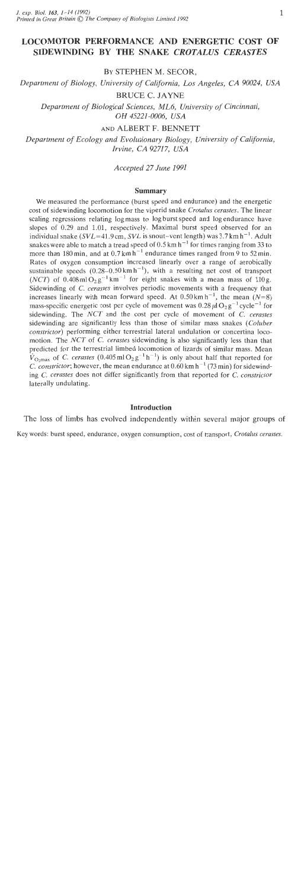# **LOCOMOTOR PERFORMANCE AND ENERGETIC COST OF SIDEWINDING BY THE SNAKE** *CROTALUS CERASTES*

BY STEPHEN M. SECOR,

*Department of Biology, University of California, Los Angeles, CA 90024, USA* 

BRUCE C. JAYNE

*Department of Biological Sciences, ML6, University of Cincinnati, OH 45221 -0006, USA* 

AND ALBERT F. BENNETT

*Department of Ecology and Evolutionary Biology, University of California, Irvine, CA 92717, USA* 

*Accepted 27 June 1991* 

#### **Summary**

We measured the performance (burst speed and endurance) and the energetic cost of sidewinding locomotion for the viperid snake *Crotalus cerastes.* The linear scaling regressions relating log mass to log burst speed and log endurance have slopes of 0.29 and 1.01, respectively. Maximal burst speed observed for an individual snake ( $SVL=41.9$  cm,  $SVL$  is snout-vent length) was 3.7 km h<sup>-1</sup>. Adult snakes were able to match a tread speed of  $0.5 \text{ km h}^{-1}$  for times ranging from 33 to more than 180 min, and at  $0.7 \text{ km h}^{-1}$  endurance times ranged from 9 to 52 min. Rates of oxygen consumption increased linearly over a range of aerobically sustainable speeds  $(0.28-0.50 \text{ km h}^{-1})$ , with a resulting net cost of transport *(NCT)* of 0.408 ml  $O_2 g^{-1}$  km<sup>-1</sup> for eight snakes with a mean mass of 110g. Sidewinding of C. *cerastes* involves periodic movements with a frequency that increases linearly with mean forward speed. At  $0.50 \text{ km h}^{-1}$ , the mean (N=8) mass-specific energetic cost per cycle of movement was  $0.28 \mu \mathrm{I} \cdot \mathrm{O}_2 \mathrm{g}^{-1}$  cycle<sup>-1</sup> for sidewinding. The NCT and the cost per cycle of movement of *C. cerastes* sidewinding are significantly less than those of similar mass snakes *(Coluber constrictor)* performing either terrestrial lateral undulation or concertina locomotion. The *NCT* of C. *cerastes* sidewinding is also significantly less than that predicted for the terrestrial limbed locomotion of lizards of similar mass. Mean  $V_{\text{O,max}}$  of C, *cerastes* (0.405 ml  $O_2g^{-1}h^{-1}$ ) is only about half that reported for *C. constrictor*; however, the mean endurance at  $0.60 \text{ km h}^{-1}$  (73 min) for sidewinding *C. cerastes* does not differ significantly from that reported for *C. constrictor*  laterally undulating.

### **Introduction**

The loss of limbs has evolved independently within several major groups of

Key words: burst speed, endurance, oxygen consumption, cost of transport, *Crotnlus cerastes.*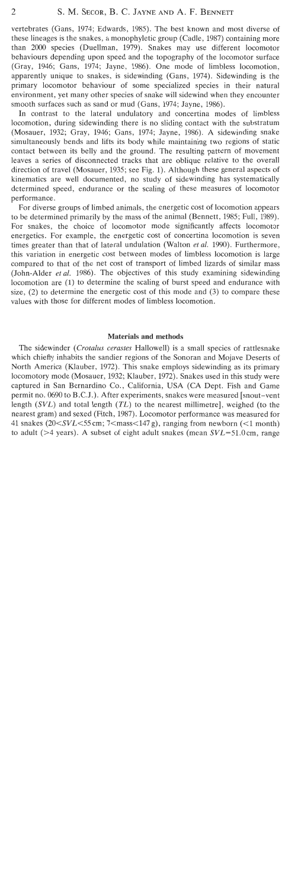vertebrates (Gans, 1974; Edwards, 1985). The best known and most diverse of these lineages is the snakes, a monophyletic group (Cadle, 1987) containing more than 2000 species (Duellman, 1979). Snakes may use different locomotor behaviours depending upon speed and the topography of the locomotor surface (Gray, 1946; Gans, 1974; Jayne, 1986). One mode of limbless locomotion, apparently unique to snakes, is sidewinding (Gans, 1974). Sidewinding is the primary locomotor behaviour of some specialized species in their natural environment, yet many other species of snake will sidewind when they encounter smooth surfaces such as sand or mud (Gans, 1974; Jayne, 1986).

In contrast to the lateral undulatory and concertina modes of limbless locomotion, during sidewinding there is no sliding contact with the substratum (Mosauer, 1932; Gray, 1946; Gans, 1974; Jayne, 1986). A sidewinding snake simultaneously bends and lifts its body while maintaining two regions of static contact between its belly and the ground. The resulting pattern of movement leaves a series of disconnected tracks that are oblique relative to the overall direction of travel (Mosauer, 1935; see Fig. 1). Although these general aspects of kinematics are well documented, no study of sidewinding has systematically determined speed, endurance or the scaling of these measures of locomotor performance.

For diverse groups of limbed animals, the energetic cost of locomotion appears to be determined primarily by the mass of the animal (Bennett, 1985; Full, 1989). For snakes, the choice of locomotor mode significantly affects locomotor energetics. For example, the energetic cost of concertina locomotion is seven times greater than that of lateral undulation (Walton et al. 1990). Furthermore, this variation in energetic cost between modes of limbless locomotion is large compared to that of the net cost of transport of limbed lizards of similar mass (John-Alder et al. 1986). The objectives of this study examining sidewinding locomotion are (1) to determine the scaling of burst speed and endurance with size, (2) to determine the energetic cost of this mode and (3) to compare these values with those for different modes of limbless locomotion.

## **Materials and methods**

The sidewinder (Crotalus cerastes Hallowell) is a small species of rattlesnake which chiefly inhabits the sandier regions of the Sonoran and Mojave Deserts of North America (Klauber, 1972). This snake employs sidewinding as its primary locomotory mode (Mosauer, 1932; Klauber, 1972). Snakes used in this study were captured in San Bernardino Co., California, USA (CA Dept. Fish and Game permit no. 0690 to B.C.J.). After experiments, snakes were measured [snout-vent length  $(SVL)$  and total length  $(TL)$  to the nearest millimetre], weighed (to the nearest gram) and sexed (Fitch, 1987). Locomotor performance was measured for 41 snakes (20 $\leq$ SVL $\leq$ 55 cm; 7 $\leq$ mass $\leq$ 147 g), ranging from newborn ( $\leq$ 1 month) to adult ( $>4$  years). A subset of eight adult snakes (mean  $SVL=51.0$ cm, range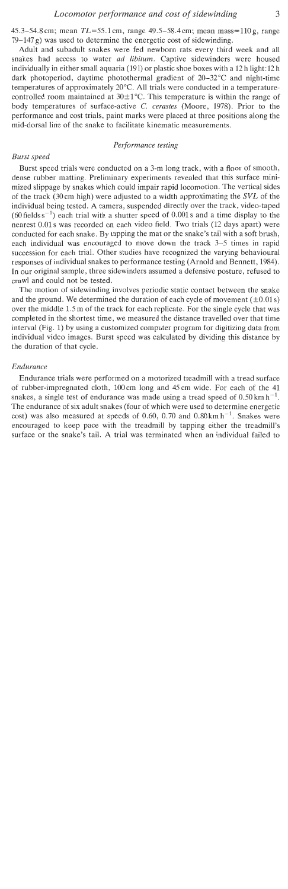45.3–54.8 cm; mean  $TL = 55.1$  cm, range 49.5–58.4 cm; mean mass = 110 g, range  $79-147$  g) was used to determine the energetic cost of sidewinding.

Adult and subadult snakes were fed newborn rats every third week and all snakes had access to water ad *libitum.* Captive sidewinders were housed individually in either small aquaria (191) or plastic shoe boxes with a 12 h light:12 h dark photoperiod, daytime photothermal gradient of 20-32°C and night-time temperatures of approximately 20°C. All trials were conducted in a temperaturecontrolled room maintained at  $30\pm 1^{\circ}$ C. This temperature is within the range of body temperatures of surface-active *C. cerastes* (Moore, 1978). Prior to the performance and cost trials, paint marks were placed at three positions along the mid-dorsal line of the snake to facilitate kinematic measurements.

#### *Performance testing*

#### *B~irst speed*

Burst speed trials were conducted on a 3-m long track, with a floor of smooth, dense rubber matting. Preliminary experiments revealed that this surface minimized slippage by snakes which could impair rapid locomotion. The vertical sides of the track (30 cm high) were adjusted to a width approximating the  $SVL$  of the individual being tested. A camera, suspended directly over the track, video-taped (60 fields  $s^{-1}$ ) each trial with a shutter speed of 0.001 s and a time display to the nearest 0.01 s was recorded on each video field. Two trials (12 days apart) were conducted for each snake. By tapping the mat or the snake's tail with a soft brush, each individual was encouraged to move down the track 3-5 times in rapid succession for each trial. Other studies have recognized the varying behavioural responses of individual snakes to performance testing (Arnold and Bennett, 1984). In our original sample, three sidewinders assumed a defensive posture, refused to crawl and could not be tested.

The motion of sidewinding involves periodic static contact between the snake and the ground. We determined the duration of each cycle of movement  $(\pm 0.01 \text{ s})$ over the middle 1.5 m of the track for each replicate. For the single cycle that was completed in the shortest time, we measured the distance travelled over that time interval (Fig. 1) by using a customized computer program for digitizing data from individual video images. Burst speed was calculated by dividing this distance by the duration of that cycle.

### *Endurance*

Endurance trials were performed on a motorized treadmill with a tread surface of rubber-impregnated cloth, 100cm long and 45 cm wide. For each of the 41 snakes, a single test of endurance was made using a tread speed of  $0.50 \text{ km h}^{-1}$ . The endurance of six adult snakes (four of which were used to determine energetic cost) was also measured at speeds of 0.60, 0.70 and  $0.80 \text{ km h}^{-1}$ . Snakes were encouraged to keep pace with the treadmill by tapping either the treadmill's surface or the snake's tail. **A** trial was terminated when an individual failed to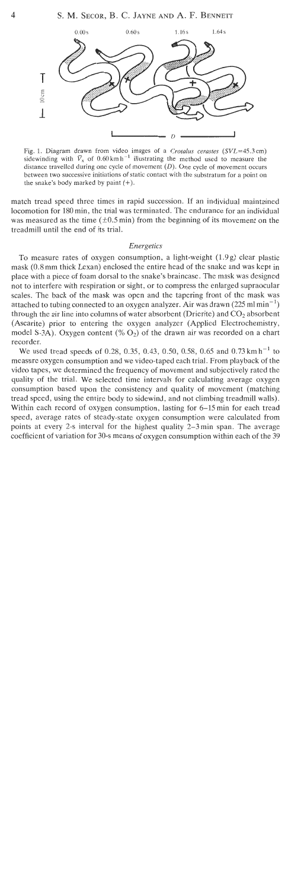

Fig. 1. Diagram drawn from video images of a *Crotalus cerastes* (SVL=45.3cm) sidewinding with  $V_x$  of 0.60 km h<sup>-1</sup> illustrating the method used to measure the distance travelled during one cycle of movement  $(D)$ . One cycle of movement occurs between two successive initiations of static contact with the substratum for a point on the snake's body marked by paint  $(+)$ .

match tread speed three times in rapid succession. If an individual maintained locomotion for 180 min, the trial was terminated. The endurance for an individual was measured as the time  $(\pm 0.5 \text{ min})$  from the beginning of its movement on the treadmill until the end of its trial.

#### *Energetics*

To measure rates of oxygen consumption, a light-weight (1.9g) clear plastic mask (0.8 mm thick Lexan) enclosed the entire head of the snake and was kept in place with a piece of foam dorsal to the snake's braincase. The mask was designed not to interfere with respiration or sight, or to compress the enlarged supraocular scales. The back of the mask was open and the tapering front of the mask was attached to tubing connected to an oxygen analyzer. Air was drawn (225 ml min<sup>-1</sup>) through the air line into columns of water absorbent (Drierite) and  $CO<sub>2</sub>$  absorbent (Ascarite) prior to entering the oxygen analyzer (Applied Electrochemistry, model S-3A). Oxygen content  $(\% O_2)$  of the drawn air was recorded on a chart recorder.

We used tread speeds of 0.28, 0.35, 0.43, 0.50, 0.58, 0.65 and 0.73 km h<sup>-1</sup> to measure oxygen consumption and we video-taped each trial. From playback of the video tapes, we determined the frequency of movement and subjectively rated the quality of the trial. We selected time intervals for calculating average oxygen consumption based upon the consistency and quality of movement (matching tread speed, using the entire body to sidewind, and not climbing treadmill walls). Within each record of oxygen consumption, lasting for 6–15 min for each tread speed, average rates of steady-state oxygen consumption were calculated from points at every 2-s interval for the highest quality 2-3min span. The average coefficient of variation for 30-s means of oxygen consumption within each of the 39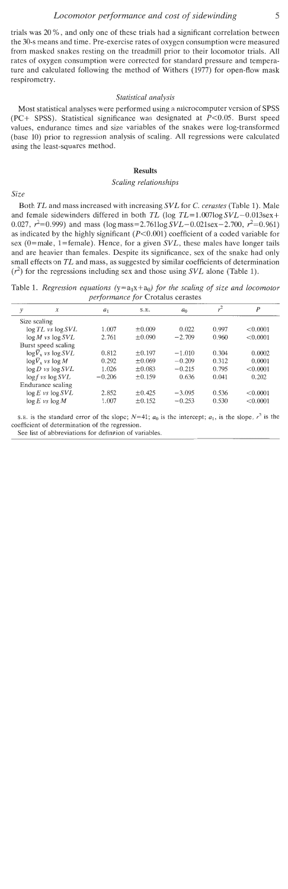trials was 20 %, and only one of these trials had a significant correlation between the 30-s means and time. Pre-exercise rates of oxygen consumption were measured from masked snakes resting on the treadmill prior to their locomotor trials. All rates of oxygen consumption were corrected for standard pressure and temperature and calculated following the method of Withers (1977) for open-flow mask respirometry.

#### *Statistical analysis*

Most statistical analyses were performed using a microcomputer version of SPSS (PC+ SPSS). Statistical significance was designated at  $P<0.05$ . Burst speed values, endurance times and size variables of the snakes were log-transformed (base 10) prior to regression analysis of scaling. All regressions were calculated using the least-squares method.

### **Results**

### *Scaling relationships*

*Size* 

Both *TL* and mass increased with increasing *SVL* for *C. cerastes* (Table *1).* Male and female sidewinders differed in both  $TL$  (log  $TL=1.007\log SVL-0.013\text{sex}+$ 0.027,  $r^2$ =0.999) and mass (log mass=2.761log  $SVL$ -0.021sex-2.700,  $r^2$ =0.961) as indicated by the highly significant  $(P<0.001)$  coefficient of a coded variable for sex (O=male, l=female). Hence, for a given *SVL,* these males have longer tails and are heavier than females. Despite its significance, sex of the snake had only small effects on *TL* and mass, as suggested by similar coefficients of determination  $(r^2)$  for the regressions including sex and those using *SVL* alone (Table 1).

|              |                                     |          | v           |                |                |          |
|--------------|-------------------------------------|----------|-------------|----------------|----------------|----------|
| y            | x                                   | $a_1$    | S.E.        | a <sub>0</sub> | r <sup>2</sup> | P        |
| Size scaling |                                     |          |             |                |                |          |
|              | $\log TL$ vs $\log SVL$             | 1.007    | $\pm 0.009$ | 0.022          | 0.997          | < 0.0001 |
|              | $\log M$ vs $\log SVL$              | 2.761    | ±0.090      | $-2.709$       | 0.960          | < 0.0001 |
|              | Burst speed scaling                 |          |             |                |                |          |
|              | $\log \overline{V}_x$ vs $\log SVL$ | 0.812    | $\pm 0.197$ | $-1.010$       | 0.304          | 0.0002   |
|              | $\log V_x$ vs $\log M$              | 0.292    | $+0.069$    | $-0.209$       | 0.312          | 0.0001   |
|              | $\log D$ vs $\log SVL$              | 1.026    | $\pm 0.083$ | $-0.215$       | 0.795          | < 0.0001 |
|              | $\log f$ vs $\log SVL$              | $-0.206$ | $\pm 0.159$ | 0.636          | 0.041          | 0.202    |
|              | Endurance scaling                   |          |             |                |                |          |
|              | $\log E$ vs $\log SVL$              | 2.852    | $\pm 0.425$ | $-3.095$       | 0.536          | < 0.0001 |
|              | $\log E$ vs $\log M$                | 1.007    | $\pm 0.152$ | $-0.253$       | 0.530          | < 0.0001 |
|              |                                     |          |             |                |                |          |

Table 1. *Regression equations*  $(y=a_1x+a_0)$  *for the scaling of size and locomotor performance for* Crotalus cerastes

**s. E.** is the standard error of the slope;  $N=41$ ;  $a_0$  is the intercept;  $a_1$ , is the slope,  $r^2$  is the **coefficient of determination of the regression.** 

**See list of abbreviations for definition of variables.**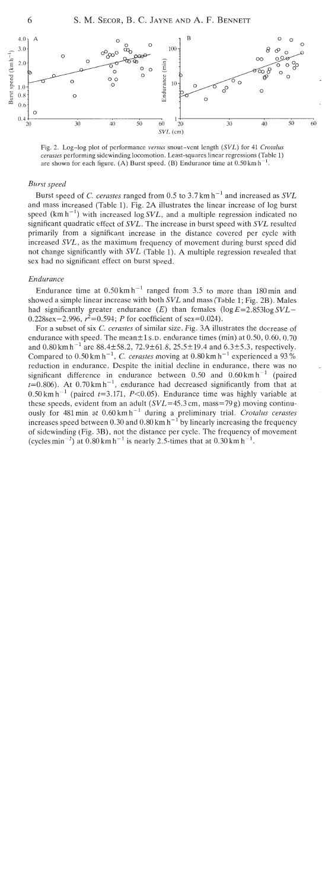

Fig. 2. Log-log plot of performance *versus* snout-vent length *(SVL)* for 41 *Crotalus cerastes* performing sidewinding locomotion. Least-squares linear regressions (Table 1) are shown for each figure. **(A)** Burst speed. **(B)** Endurance time at  $0.50 \text{ km h}^{-1}$ .

### Burst speed

Burst speed of C. cerastes ranged from 0.5 to 3.7 km h<sup>-1</sup> and increased as  $SVL$ and mass increased (Table 1). Fig. 2A illustrates the linear increase of log burst speed ( $km \, h^{-1}$ ) with increased log SVL, and a multiple regression indicated no significant quadratic effect of SVL. The increase in burst speed with SVL resulted primarily from a significant increase in the distance covered per cycle with increased SVL, as the maximum frequency of movement during burst speed did not change significantly with SVL (Table 1). **A** multiple regression revealed that sex had no significant effect on burst speed.

### Endurance

Endurance time at  $0.50 \text{ km h}^{-1}$  ranged from 3.5 to more than 180 min and showed a simple linear increase with both SVL and mass (Table 1; Fig. 2B). Males had significantly greater endurance  $(E)$  than females  $(\log E = 2.853\log SVL -$ 0.228sex-2.996,  $r^2$ =0.594; P for coefficient of sex=0.024).

For a subset of six C. cerastes of similar size, Fig. 3A illustrates the decrease of endurance with speed. The mean $\pm 1$  s.p. endurance times (min) at 0.50, 0.60, 0.70 and  $0.80 \text{ km h}^{-1}$  are  $88.4 \pm 58.2$ ,  $72.9 \pm 61.8$ ,  $25.5 \pm 19.4$  and  $6.3 \pm 5.3$ , respectively. Compared to  $0.50 \text{ km h}^{-1}$ , C. cerastes moving at  $0.80 \text{ km h}^{-1}$  experienced a 93% reduction in endurance. Despite the initial decline in endurance, there was no significant difference in endurance between 0.50 and  $0.60 \text{ km h}^{-1}$  (paired  $t=0.806$ ). At 0.70 km h<sup>-1</sup>, endurance had decreased significantly from that at 0.50 km h<sup>-1</sup> (paired  $t=3.171$ , P<0.05). Endurance time was highly variable at these speeds, evident from an adult  $(SVL=45.3 \text{ cm}, \text{mass}=79 \text{ g})$  moving continuously for 481 min at  $0.60 \text{ km h}^{-1}$  during a preliminary trial. Crotalus cerastes increases speed between 0.30 and  $0.80 \text{ km h}^{-1}$  by linearly increasing the frequency of sidewinding (Fig. 3B), not the distance per cycle. The frequency of movement (cycles min<sup>-1</sup>) at  $0.80$  km h<sup>-1</sup> is nearly 2.5-times that at  $0.30$  km h<sup>-1</sup>.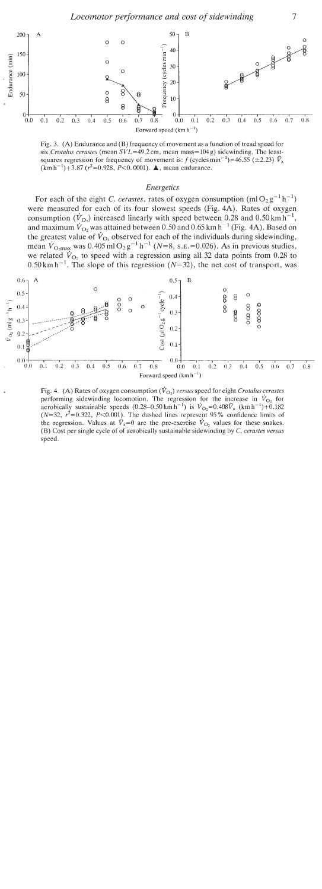

Fig. 3. (A) Endurance and (B) frequency of movement as a function of tread speed for six *Crotalus cerastes* (mean  $SVL=49.2$  cm, mean mass=  $104 \text{ g}$ ) sidewinding. The leastsquares regression for frequency of movement is: f (cycles min<sup>-1</sup>)=46.55 ( $\pm$ 2.23)  $\bar{V}_x$  $(km h^{-1})+3.87$  ( $r^2=0.928$ ,  $P<0.0001$ ). **A**, mean endurance.

### Energetics

For each of the eight C. cerastes, rates of oxygen consumption  $(m1O_2g^{-1}h^{-1})$ were measured for each of its four slowest speeds (Fig. 4A). Rates of oxygen consumption  $(\dot{V}_{\text{O}})$  increased linearly with speed between 0.28 and 0.50 km h<sup>-1</sup>, and maximum  $\dot{V}_{\text{O}_2}$  was attained between 0.50 and 0.65 km h<sup>-1</sup> (Fig. 4A). Based on the greatest value of  $\dot{V}_{\text{O}_2}$  observed for each of the individuals during sidewinding, mean  $\dot{V}_{\text{O}_2\text{max}}$  was 0.405 ml  $\text{O}_2 \text{g}^{-1} \text{h}^{-1}$  (N=8, s.e. =0.026). As in previous studies, we related  $V_{\text{O}_2}$  to speed with a regression using all 32 data points from 0.28 to  $0.50 \text{ km h}^{-1}$ . The slope of this regression (N=32), the net cost of transport, was



Fig. 4. (A) Rates of oxygen consumption  $(\dot{V}_{\Omega_2})$  *versus* speed for eight *Crotalus cerastes* performing sidewinding locomotion. The regression for the increase in  $\dot{V}_{\text{O}_2}$  for aerobically sustainable speeds  $(0.28-0.50 \text{ km h}^{-1})$  is  $\dot{V}_{\text{O}_2} = 0.408\bar{V}_{\text{x}}$  (km h<sup>-1</sup>)+0.182  $(N=32, r^2=0.322, P<0.001)$ . The dashed lines represent 95% confidence limits of the regression. Values at  $\bar{V}_x=0$  are the pre-exercise  $\dot{V}_{Q_2}$  values for these snakes. (B) Cost per single cycle of of aerobically sustainable sidewinding by *C. cerastes versus*  speed.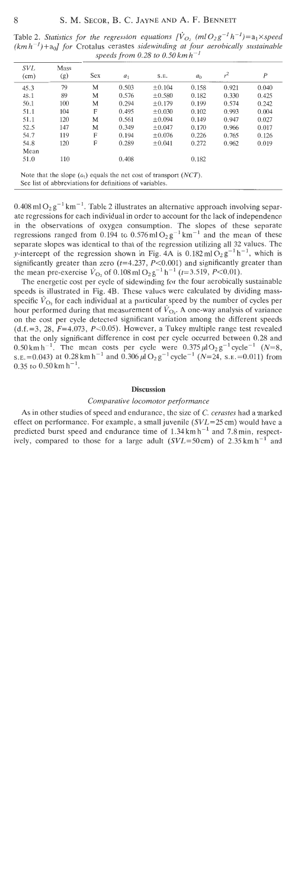| <b>SVL</b><br>(cm) | Mass<br>(g) | Sex | $a_1$ | S.E.        | a <sub>0</sub> | $r^2$ | P     |
|--------------------|-------------|-----|-------|-------------|----------------|-------|-------|
| 45.3               | 79          | M   | 0.503 | ±0.104      | 0.158          | 0.921 | 0.040 |
| 48.1               | 89          | M   | 0.576 | $\pm 0.580$ | 0.182          | 0.330 | 0.425 |
| 50.1               | 100         | M   | 0.294 | $\pm 0.179$ | 0.199          | 0.574 | 0.242 |
| 51.1               | 104         | F   | 0.495 | $\pm 0.030$ | 0.102          | 0.993 | 0.004 |
| 51.1               | 120         | M   | 0.561 | $\pm 0.094$ | 0.149          | 0.947 | 0.027 |
| 52.5               | 147         | M   | 0.349 | $\pm 0.047$ | 0.170          | 0.966 | 0.017 |
| 54.7               | 119         | F   | 0.194 | $\pm 0.076$ | 0.226          | 0.765 | 0.126 |
| 54.8               | 120         | F   | 0.289 | $\pm 0.041$ | 0.272          | 0.962 | 0.019 |
| Mean               |             |     |       |             |                |       |       |
| 51.0               | 110         |     | 0.408 |             | 0.182          |       |       |

Table 2. Statistics for the regression equations  $[\dot{V}_{O_2}$  (ml  $O_2 g^{-1} h^{-1})=a_1 \times speed$  $(kmh^{-1})+a_0$ ] for Crotalus cerastes sidewinding at four aerobically sustainable

Note that the slope  $(a_1)$  equals the net cost of transport  $(NCT)$ . See list of abbreviations for definitions of variables.

 $0.408$  ml  $O_2g^{-1}$  km<sup>-1</sup>. Table 2 illustrates an alternative approach involving separate regressions for each individual in order to account for the lack of independence in the observations of oxygen consumption. The slopes of these separate regressions ranged from 0.194 to 0.576 ml  $O_2 g^{-1}$  km<sup>-1</sup> and the mean of these separate slopes was identical to that of the regression utilizing all 32 values. The y-intercept of the regression shown in Fig. 4A is  $0.182 \text{ ml } \widetilde{O}_2 \text{ g}^{-1} \text{ h}^{-1}$ , which is significantly greater than zero ( $t=4.237$ ,  $P<0.001$ ) and significantly greater than the mean pre-exercise  $\dot{V}_{\text{O}_2}$  of 0.108 ml  $\text{O}_2 \text{g}^{-1} \text{h}^{-1}$  ( $t=3.519$ ,  $P<0.01$ ).

The energetic cost per cycle of sidewinding for the four aerobically sustainable speeds is illustrated in Fig. 4B. These values were calculated by dividing massspecific  $\dot{V}_{\text{O}_2}$  for each individual at a particular speed by the number of cycles per hour performed during that measurement of  $\dot{V}_{\text{O}_2}$ . A one-way analysis of variance on the cost per cycle detected significant variation among the different speeds  $(d.f.=3, 28, F=4.073, P<0.05)$ . However, a Tukey multiple range test revealed that the only significant difference in cost per cycle occurred between 0.28 and 0.50 km h<sup>-1</sup>. The mean costs per cycle were  $0.375 \mu I O_2 g^{-1}$  cycle<sup>-1</sup> (N=8, S.E. = 0.043) at 0.28 km h<sup>-1</sup> and 0.306  $\mu$ l O<sub>2</sub> g<sup>-1</sup> cycle<sup>-1</sup> (N=24, s.e. = 0.011) from 0.35 to  $0.50$  km h<sup>-1</sup>.

#### **Discussion**

# Comparative locomotor performance

As in other studies of speed and endurance, the size of **C,** cerastes had a marked effect on performance. For example, a small juvenile  $(SVL=25 \text{ cm})$  would have a predicted burst speed and endurance time of  $1.34 \text{ km h}^{-1}$  and  $7.8 \text{ min}$ , respectively, compared to those for a large adult  $(SVL=50 \text{ cm})$  of 2.35 km h<sup>-1</sup> and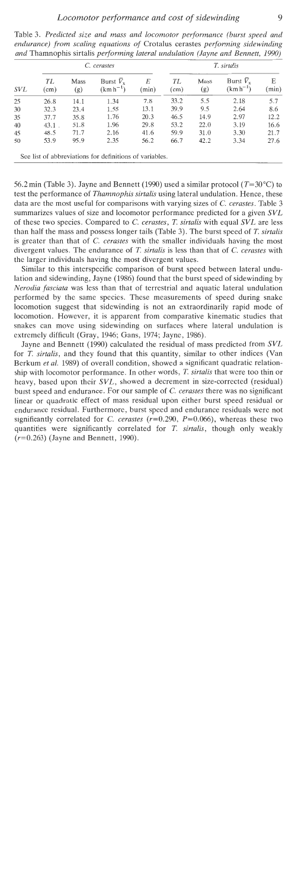| <i>SVL</i> | C. cerastes         |             |                                |            | T. sirtalis |             |                                    |            |
|------------|---------------------|-------------|--------------------------------|------------|-------------|-------------|------------------------------------|------------|
|            | TL<br>$\text{cm}$ ) | Mass<br>(g) | Burst $V_{x}$<br>$(km h^{-1})$ | Ε<br>(min) | TL<br>(cm)  | Mass<br>(g) | Burst $\bar{V}_x$<br>$(km h^{-1})$ | Е<br>(min) |
| 25         | 26.8                | 14.1        | 1.34                           | 7.8        | 33.2        | 5.5         | 2.18                               | 5.7        |
| 30         | 32.3                | 23.4        | 1.55                           | 13.1       | 39.9        | 9.5         | 2.64                               | 8.6        |
| 35         | 37.7                | 35.8        | 1.76                           | 20.3       | 46.5        | 14.9        | 2.97                               | 12.2       |
| 40         | $43.1$ .            | 51.8        | 1.96                           | 29.8       | 53.2        | 22.0        | 3.19                               | 16.6       |
| 45         | 48.5                | 71.7        | 2.16                           | 41.6       | 59.9        | 31.0        | 3.30                               | 21.7       |
| 50         | 53.9                | 95.9        | 2.35                           | 56.2       | 66.7        | 42.2        | 3.34                               | 27.6       |

Table 3. Predicted size and mass and locomotor performance (burst speed and endurance) from scaling equations of Crotalus cerastes performing sidewinding<br>and Themasophia sixtelia performing lateral undulation (James and Bannett, 1999).  $\alpha$  and Theorem in the Thamnophis sirtalis performing lateral undulation (Jayne and Bennett,  $\alpha$ 

56.2 min (Table 3). Jayne and Bennett (1990) used a similar protocol ( $T=30^{\circ}$ C) to test the performance of *Thamnophis sirtalis* using lateral undulation. Hence, these data are the most useful for comparisons with varying sizes of **C,** cerastes. Table 3 summarizes values of size and locomotor performance predicted for a given SVL of these two species. Compared to C. cerastes, *T.* sirtalis with equal SVL are less than half the mass and possess longer tails (Table 3). The burst speed of T. sirtalis is greater than that of  $\overline{C}$ . cerastes with the smaller individuals having the most divergent values. The endurance of *T. sirtalis* is less than that of *C. cerastes* with the larger individuals having the most divergent values.

Similar to this interspecific comparison of burst speed between lateral undulation and sidewinding, Jayne (1986) found that the burst speed of sidewinding by Nerodia fasciata was less than that of terrestrial and aquatic lateral undulation performed by the same species. These measurements of speed during snake locomotion suggest that sidewinding is not an extraordinarily rapid mode of locomotion. However, it is apparent from comparative kinematic studies that snakes can move using sidewinding on surfaces where lateral undulation is extremely difficult (Gray, 1946; Gans, 1974; Jayne, 1986).

Jayne and Bennett (1990) calculated the residual of mass predicted from SVL for **T.** sirtalis, and they found that this quantity, similar to other indices (Van Berkum et al. 1989) of overall condition, showed a significant quadratic relationship with locomotor performance. In other words, *T.* sirtalis that were too thin or heavy, based upon their SVL, showed a decrement in size-corrected (residual) burst speed and endurance. For our sample of *C.* cerastes there was no significant linear or quadratic effect of mass residual upon either burst speed residual or endurance residual. Furthermore, burst speed and endurance residuals were not significantly correlated for *C. cerastes*  $(r=0.290, P=0.066)$ , whereas these two quantities were significantly correlated for  $T$ , sirtalis, though only weakly  $(r=0.263)$  (Jayne and Bennett, 1990).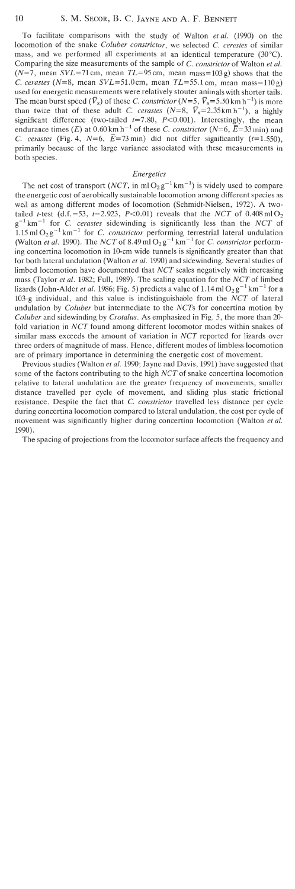To facilitate comparisons with the study of Walton et al. (1990) on the locomotion of the snake Coluber constrictor, we selected C. cerastes of similar mass, and we performed all experiments at an identical temperature (30°C). Comparing the size measurements of the sample of C. constrictor of Walton et al.  $(N=7, \text{ mean } SVL=71 \text{ cm}, \text{ mean } TL=95 \text{ cm}, \text{ mean } mass=103 \text{ g}$  shows that the C. cerastes ( $N=8$ , mean  $SVL=51.0$ cm, mean  $TL=55.1$ cm, mean mass=110g) used for energetic measurements were relatively stouter animals with shorter tails. The mean burst speed  $(\bar{V}_x)$  of these C. constrictor (N=5,  $\bar{V}_x$ =5.50 km h<sup>-1</sup>) is more than twice that of these adult C. cerastes  $(N=8, \overline{V_x}=2.35 \text{ km h}^{-1})$ , a highly significant difference (two-tailed  $t=7.80$ ,  $P<0.001$ ). Interestingly, the mean endurance times (E) at  $0.60 \text{ km h}^{-1}$  of these C. constrictor (N=6,  $\overline{E}$ =33 min) and C. cerastes (Fig. 4,  $N=6$ ,  $\overline{E}=73$  min) did not differ significantly (t=1.550), primarily because of the large variance associated with these measurements in both species.

## Energetics

The net cost of transport (NCT, in ml  $O_2g^{-1}km^{-1}$ ) is widely used to compare the energetic cost of aerobically sustainable locomotion among different species as well as among different modes of locomotion (Schmidt-Nielsen, 1972). A twotailed t-test (d.f.=53, t=2.923, P<0.01) reveals that the NCT of  $0.408 \text{ mlO}_2$  $g^{-1}$  km<sup>-1</sup> for *C*, cerastes sidewinding is significantly less than the NCT of 1.15 ml  $O_2 g^{-1}$  km<sup>-1</sup> for *C. constrictor* performing terrestrial lateral undulation (Walton *et al.* 1990). The *NCT* of 8.49 ml  $O_2g^{-1}$  km<sup>-1</sup> for *C. constrictor* performing concertina locomotion in 10-cm wide tunnels is significantly greater than that for both lateral undulation (Walton et al. 1990) and sidewinding. Several studies of limbed locomotion have documented that NCT scales negatively with increasing mass (Taylor et al. 1982; Full, 1989). The scaling equation for the NCT of limbed lizards (John-Alder *et al.* 1986; Fig. 5) predicts a value of 1.14 ml  $O_2 g^{-1}$  km<sup>-1</sup> for a 103-g individual, and this value is indistinguishable from the  $NCT$  of lateral undulation by *Coluber* but intermediate to the *NCTs* for concertina motion by Coluber and sidewinding by Crotalus. As emphasized in Fig. 5, the more than 20 fold variation in NCT found among different locomotor modes within snakes of similar mass exceeds the amount of variation in NCT reported for lizards over three orders of magnitude of mass. Hence, different modes of limbless locomotion are of primary importance in determining the energetic cost of movement.

Previous studies (Walton et al. 1990; Jayne and Davis, 1991) have suggested that some of the factors contributing to the high NCT of snake concertina locomotion relative to lateral undulation are the greater frequency of movements, smaller distance travelled per cycle of movement, and sliding plus static frictional resistance. Despite the fact that C. constrictor travelled less distance per cycle during concertina locomotion compared to lateral undulation, the cost per cycle of movement was significantly higher during concertina locomotion (Walton *et al.*) 1990).

The spacing of projections from the locomotor surface affects the frequency and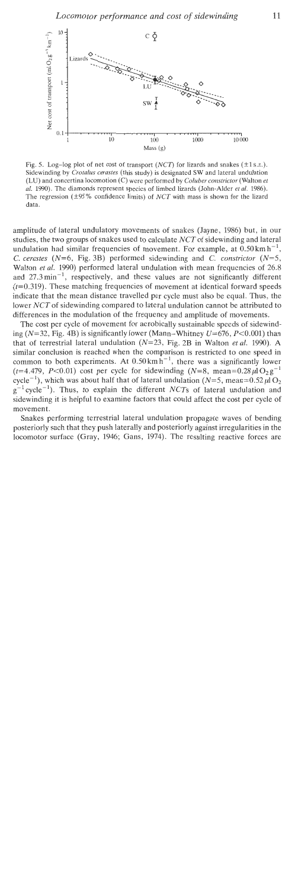

Fig. 5. Log-log plot of net cost of transport (NCT) for lizards and snakes ( $\pm$ 1s.a.). Sidewinding **by** *Crotalus cerastes* (this study) is designated SW and lateral undulation (LU) and concertina locomotion (C) were performed **by** *Coluber corzstrictor* (Walton *et al.* 1990). The diamonds represent species of limbed lizards (John-Alder *et al.* 1986). The regression ( $\pm$ 95 % confidence limits) of NCT with mass is shown for the lizard data.

amplitude of lateral undulatory movements of snakes (Jayne, 1986) but, in our studies, the two groups of snakes used to calculate NCT of sidewinding and lateral undulation had similar frequencies of movement. For example, at  $0.50 \text{ km h}^{-1}$ , *C. cerastes* ( $N=6$ , Fig. 3B) performed sidewinding and *C. constrictor* ( $N=5$ , Walton et al. 1990) performed lateral undulation with mean frequencies of 26.8 and  $27.3 \text{ min}^{-1}$ , respectively, and these values are not significantly different  $(t=0.319)$ . These matching frequencies of movement at identical forward speeds indicate that the mean distance travelled per cycle must also be equal. Thus, the lower NCT of sidewinding compared to lateral undulation cannot be attributed to differences in the modulation of the frequency and amplitude of movements.

The cost per cycle of movement for aerobically sustainable speeds of sidewinding ( $N=32$ , Fig. 4B) is significantly lower (Mann-Whitney  $U=676$ ,  $P<0.001$ ) than that of terrestrial lateral undulation  $(N=23,$  Fig. 2B in Walton *et al.* 1990). A similar conclusion is reached when the comparison is restricted to one speed in common to both experiments. At  $0.50 \text{ km h}^{-1}$ , there was a significantly lower (t=4.479, P<0.01) cost per cycle for sidewinding (N=8, mean=0.28 $\mu$ l $O_2$ g<sup>-1</sup> cycle<sup>-1</sup>), which was about half that of lateral undulation ( $N=5$ , mean=0.52 $\mu$ IO<sub>2</sub>  $g^{-1}$  cycle<sup>-1</sup>). Thus, to explain the different NCTs of lateral undulation and sidewinding it is helpful to examine factors that could affect the cost per cycle of movement.

Snakes performing terrestrial lateral undulation propagate waves of bending posteriorly such that they push laterally and posteriorly against irregularities in the locomotor surface (Gray, 1946; Gans, 1974). The resulting reactive forces are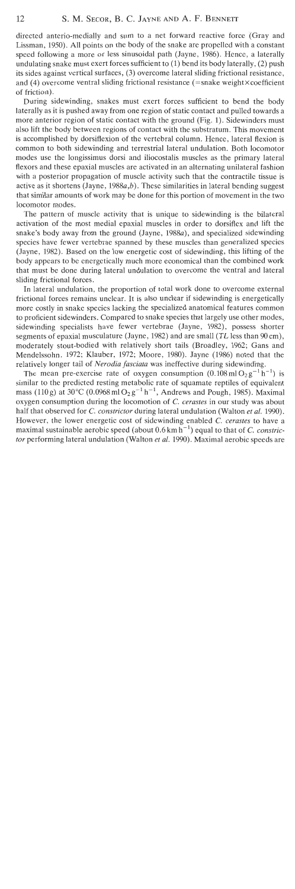directed anterio-medially and sum to a net forward reactive force (Gray and Lissman, 1950). All points on the body of the snake are propelled with a constant speed following a more or less sinusoidal path (Jayne, 1986). Hence, a laterally undulating snake must exert forces sufficient to (1) bend its body laterally, (2) push its sides against vertical surfaces, **(3)** overcome lateral sliding frictional resistance, and (4) overcome ventral sliding frictional resistance (=snake weight $\times$ coefficient of friction).

During sidewinding, snakes must exert forces sufficient to bend the body laterally as it is pushed away from one region of static contact and pulled towards a more anterior region of static contact with the ground (Fig. 1). Sidewinders must also lift the body between regions of contact with the substratum. This movement is accomplished by dorsiflexion of the vertebral column. Hence, lateral flexion is common to both sidewinding and terrestrial lateral undulation. Both locomotor modes use the longissimus dorsi and iliocostalis muscles as the primary lateral flexors and these epaxial muscles are activated in an alternating unilateral fashion with a posterior propagation of muscle activity such that the contractile tissue is active as it shortens (Jayne,  $1988a,b$ ). These similarities in lateral bending suggest that similar amounts of work may be done for this portion of movement in the two locomotor modes.

The pattern of muscle activity that is unique to sidewinding is the bilateral activation of the most medial epaxial muscles in order to dorsiflex and lift the snake's body away from the ground (Jayne, 1988a), and specialized sidewinding species have fewer vertebrae spanned by these muscles than generalized species (Jayne, 1982). Based on the low energetic cost of sidewinding, this lifting of the body appears to be energetically much more economical than the combined work that must be done during lateral undulation to overcome the ventral and lateral sliding frictional forces.

In lateral undulation, the proportion of total work done to overcome external frictional forces remains unclear. It is also unclear if sidewinding is energetically more costly in snake species lacking the specialized anatomical features common to proficient sidewinders. Compared to snake species that largely use other modes, sidewinding specialists have fewer vertebrae (Jayne, 1982), possess shorter segments of epaxial musculature (Jayne, 1982) and are small (TL less than 90 cm), moderately stout-bodied with relatively short tails (Broadley, 1962; Gans and Mendelssohn, 1972; Klauber, 1972; Moore, 1980). Jayne (1986) noted that the relatively longer tail of Nerodia fasciata was ineffective during sidewinding.

The mean pre-exercise rate of oxygen consumption  $(0.108 \text{ ml} \Omega_2 \text{ g}^{-1} \text{ h}^{-1})$  is similar to the predicted resting metabolic rate of squamate reptiles of equivalent mass (110 g) at 30°C (0.0968 ml  $O_2$  g<sup>-1</sup> h<sup>-1</sup>, Andrews and Pough, 1985). Maximal oxygen consumption during the locomotion of C. cerastes in our study was about half that observed for *C. constrictor* during lateral undulation (Walton *et al.* 1990). However, the lower energetic cost of sidewinding enabled C. cerastes to have a maximal sustainable aerobic speed (about  $0.6 \text{ km h}^{-1}$ ) equal to that of C. constrictor performing lateral undulation (Walton et al. 1990). Maximal aerobic speeds are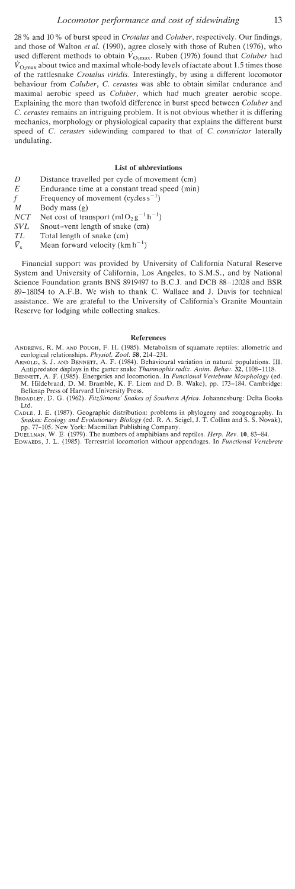28 % and 10 % of burst speed in *Crotalus* and *Coluber,* respectively. Our findings, and those of Walton *et* al. (1990), agree closely with those of Ruben (1976), who used different methods to obtain  $\hat{V}_{\text{O,max}}$ . Ruben (1976) found that *Coluber* had  $\dot{V}_{\text{O,max}}$  about twice and maximal whole-body levels of lactate about 1.5 times those of the rattlesnake *Crotalus viridis.* Interestingly, by using a different locomotor behaviour from *Coluber, C. cerastes* was able to obtain similar endurance and maximal aerobic speed as *Coluber,* which had much greater aerobic scope. Explaining the more than twofold difference in burst speed between *Coluber* and *C. cerastes* remains an intriguing problem. It is not obvious whether it is differing mechanics, morphology or physiological capacity that explains the different burst speed of *C. cerastes* sidewinding compared to that of *C. constrictor* laterally undulating.

### **List of abbreviations**

- D Distance travelled per cycle of movement (cm)
- *E* Endurance time at a constant tread speed (min)
- f Frequency of movement (cycles  $s^{-1}$ )<br>  $M$  Body mass (*o*)
- Body mass  $(g)$

*NCT* Net cost of transport  $(m1O_2g^{-1}h^{-1})$ <br>*SVL* Snout-vent length of snake (cm)

- Snout-vent length of snake (cm)
- $TL$  Total length of snake (cm)<br> $\bar{V}_x$  Mean forward velocity (km)
- Mean forward velocity  $(km h^{-1})$

Financial support was provided by University of California Natural Reserve System and University of California, Los Angeles, to S.M.S., and by National Science Foundation grants BNS 8919497 to B.C.J. and DCB 88-12028 and BSR 89-18054 to A.F.B. We wish to thank C. Wallace and J. Davis for technical assistance. We are grateful to the University of California's Granite Mountain Reserve for lodging while collecting snakes.

#### **References**

- ANDREWS, **R. M.** AND POUCH, F. H. (1985). Metabolism of squamate reptiles: allometric and ecological relationships. *Physiol. Zool.* 58, 214-231.
- ARNOLD, S. J. AND BENNETT, A. F. (1984). Behavioural variation in natural populations. 111. Antipredator displays in the garter snake *Thamnophis radix. Anim. Behav. 32,* 1108-1118.
- BENNETT, A. F. (1985). Energetics and locomotion. In *Functional Vertebrate Morphology* (ed. M. Hildebrand, D. M. Bramble, K. F. Liem and D. B. Wake), pp. 173-184. Cambridge: Belknap Press of Harvard University Press.
- BROADLEY, D.G. (1962). *FitzSimons' Snakes of Southern Africa.* Johannesburg: Delta Books Ltd.
- CADLE, J. E. (1987). Geographic distribution: problems in phylogeny and zoogeography. In *Snakes: Ecology and Evolutionary Biology* (ed. *R.* A. Seigel, J. T. Collins and S. S. Novak), pp. 77-105. New York: Macmillan Publishing Company.

DUELLMAN, W.E. (1979). The numbers of amphibians and reptiles. *Herp. Rev.* 10,83-84.

EDWARDS, J. L. (1985). Terrestrial locomotion without appendages. In *Functional Vertebrate*